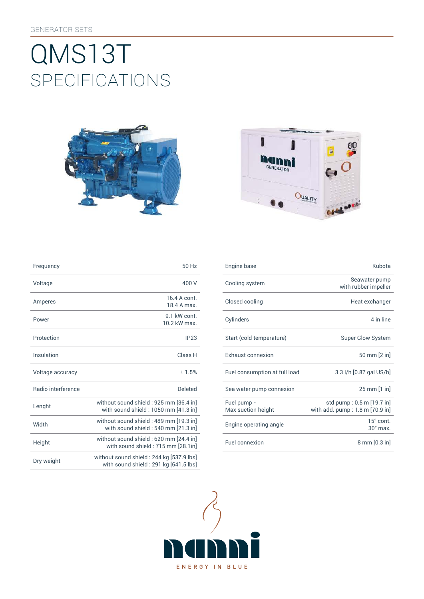# SpEcificATiONS QMS13T





| Frequency                 | 50 Hz                                                                             |
|---------------------------|-----------------------------------------------------------------------------------|
| Voltage                   | 400 V                                                                             |
| Amperes                   | 16.4 A cont<br>18 4 A max                                                         |
| Power                     | 9 1 kW cont<br>10 2 kW max                                                        |
| Protection                | IP23                                                                              |
| Insulation                | Class <sub>H</sub>                                                                |
| Voltage accuracy          | ±1.5%                                                                             |
| <b>Badio</b> interference | Deleted                                                                           |
| Lenght                    | without sound shield: 925 mm [36.4 in]<br>with sound shield: 1050 mm [41.3 in]    |
| Width                     | without sound shield: 489 mm [19.3 in]<br>with sound shield : 540 mm [21.3 in]    |
| Height                    | without sound shield : 620 mm [24.4 in]<br>with sound shield: 715 mm [28.1in]     |
| Dry weight                | without sound shield: 244 kg [537.9 lbs]<br>with sound shield: 291 kg [641.5 lbs] |

| Frequency          | 50 Hz                                                                           | Engine base                       | Kubota                                                       |
|--------------------|---------------------------------------------------------------------------------|-----------------------------------|--------------------------------------------------------------|
| Voltage            | 400 V                                                                           | Cooling system                    | Seawater pump<br>with rubber impeller                        |
| <b>Amperes</b>     | 16.4 A cont.<br>18.4 A max.                                                     | Closed cooling                    | Heat exchanger                                               |
| Power              | 9.1 kW cont.<br>10.2 kW max.                                                    | Cylinders                         | 4 in line                                                    |
| Protection         | IP23                                                                            | Start (cold temperature)          | <b>Super Glow System</b>                                     |
| <b>Insulation</b>  | Class H                                                                         | <b>Exhaust connexion</b>          | 50 mm [2 in]                                                 |
| Voltage accuracy   | ±1.5%                                                                           | Fuel consumption at full load     | 3.3 l/h [0.87 gal US/h]                                      |
| Radio interference | <b>Deleted</b>                                                                  | Sea water pump connexion          | 25 mm [1 in]                                                 |
| Lenght             | without sound shield: 925 mm [36.4 in]<br>with sound shield : 1050 mm [41.3 in] | Fuel pump -<br>Max suction height | std pump: 0.5 m [19.7 in]<br>with add. pump: 1.8 m [70.9 in] |
| Width              | without sound shield : 489 mm [19.3 in]<br>with sound shield: 540 mm [21.3 in]  | Engine operating angle            | $15^\circ$ cont.<br>$30^\circ$ max.                          |
| Height             | without sound shield: 620 mm [24.4 in]<br>with sound shield: 715 mm [28.1in]    | Fuel connexion                    | $8 \text{ mm} [0.3 \text{ in}]$                              |